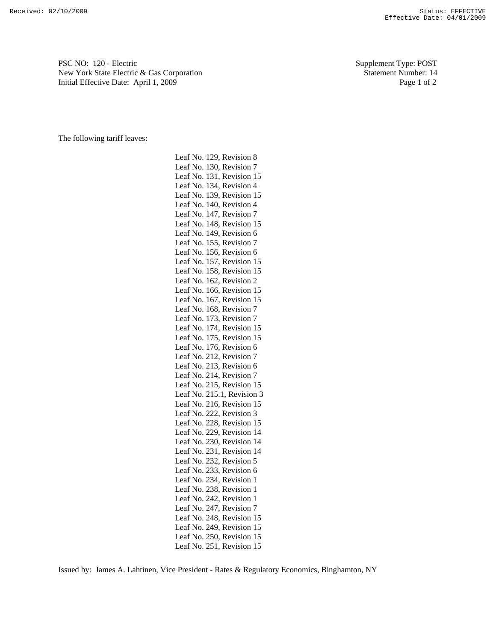PSC NO: 120 - Electric Supplement Type: POST New York State Electric & Gas Corporation Statement Number: 14 Initial Effective Date: April 1, 2009 Page 1 of 2

The following tariff leaves:

Leaf No. 129, Revision 8 Leaf No. 130, Revision 7 Leaf No. 131, Revision 15 Leaf No. 134, Revision 4 Leaf No. 139, Revision 15 Leaf No. 140, Revision 4 Leaf No. 147, Revision 7 Leaf No. 148, Revision 15 Leaf No. 149, Revision 6 Leaf No. 155, Revision 7 Leaf No. 156, Revision 6 Leaf No. 157, Revision 15 Leaf No. 158, Revision 15 Leaf No. 162, Revision 2 Leaf No. 166, Revision 15 Leaf No. 167, Revision 15 Leaf No. 168, Revision 7 Leaf No. 173, Revision 7 Leaf No. 174, Revision 15 Leaf No. 175, Revision 15 Leaf No. 176, Revision 6 Leaf No. 212, Revision 7 Leaf No. 213, Revision 6 Leaf No. 214, Revision 7 Leaf No. 215, Revision 15 Leaf No. 215.1, Revision 3 Leaf No. 216, Revision 15 Leaf No. 222, Revision 3 Leaf No. 228, Revision 15 Leaf No. 229, Revision 14 Leaf No. 230, Revision 14 Leaf No. 231, Revision 14 Leaf No. 232, Revision 5 Leaf No. 233, Revision 6 Leaf No. 234, Revision 1 Leaf No. 238, Revision 1 Leaf No. 242, Revision 1 Leaf No. 247, Revision 7 Leaf No. 248, Revision 15 Leaf No. 249, Revision 15 Leaf No. 250, Revision 15 Leaf No. 251, Revision 15

Issued by: James A. Lahtinen, Vice President - Rates & Regulatory Economics, Binghamton, NY